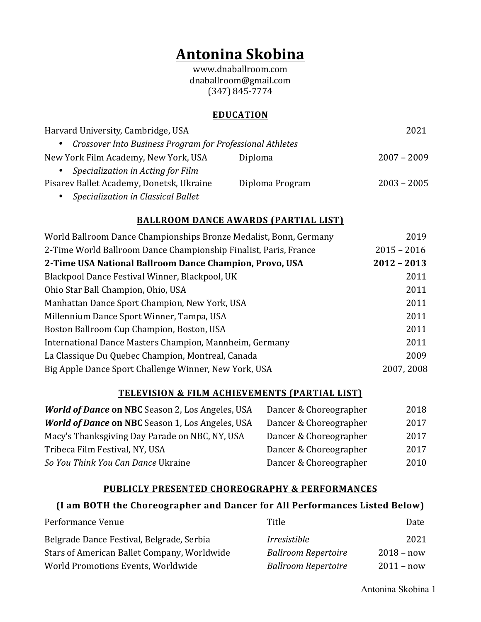# **Antonina Skobina**

www.dnaballroom.com dnaballroom@gmail.com (347) 845-7774

## **EDUCATION**

| Harvard University, Cambridge, USA                          |                 | 2021          |
|-------------------------------------------------------------|-----------------|---------------|
| • Crossover Into Business Program for Professional Athletes |                 |               |
| New York Film Academy, New York, USA                        | Diploma         | $2007 - 2009$ |
| • Specialization in Acting for Film                         |                 |               |
| Pisarev Ballet Academy, Donetsk, Ukraine                    | Diploma Program | $2003 - 2005$ |
| Specialization in Classical Ballet<br>$\bullet$             |                 |               |

# **BALLROOM DANCE AWARDS (PARTIAL LIST)**

| World Ballroom Dance Championships Bronze Medalist, Bonn, Germany | 2019          |
|-------------------------------------------------------------------|---------------|
| 2-Time World Ballroom Dance Championship Finalist, Paris, France  | $2015 - 2016$ |
| 2-Time USA National Ballroom Dance Champion, Provo, USA           | $2012 - 2013$ |
| Blackpool Dance Festival Winner, Blackpool, UK                    | 2011          |
| Ohio Star Ball Champion, Ohio, USA                                | 2011          |
| Manhattan Dance Sport Champion, New York, USA                     | 2011          |
| Millennium Dance Sport Winner, Tampa, USA                         | 2011          |
| Boston Ballroom Cup Champion, Boston, USA                         | 2011          |
| International Dance Masters Champion, Mannheim, Germany           | 2011          |
| La Classique Du Quebec Champion, Montreal, Canada                 | 2009          |
| Big Apple Dance Sport Challenge Winner, New York, USA             | 2007, 2008    |

#### **TELEVISION & FILM ACHIEVEMENTS (PARTIAL LIST)**

| <b>World of Dance on NBC</b> Season 2, Los Angeles, USA | Dancer & Choreographer | 2018 |
|---------------------------------------------------------|------------------------|------|
| <b>World of Dance on NBC</b> Season 1, Los Angeles, USA | Dancer & Choreographer | 2017 |
| Macy's Thanksgiving Day Parade on NBC, NY, USA          | Dancer & Choreographer | 2017 |
| Tribeca Film Festival, NY, USA                          | Dancer & Choreographer | 2017 |
| So You Think You Can Dance Ukraine                      | Dancer & Choreographer | 2010 |

# **PUBLICLY PRESENTED CHOREOGRAPHY & PERFORMANCES**

# **(I am BOTH the Choreographer and Dancer for All Performances Listed Below)**

| Performance Venue                           | Title                             | Date         |
|---------------------------------------------|-----------------------------------|--------------|
| Belgrade Dance Festival, Belgrade, Serbia   | <i><u><b>Irresistible</b></u></i> | 2021         |
| Stars of American Ballet Company, Worldwide | <b>Ballroom Repertoire</b>        | $2018 - now$ |
| World Promotions Events, Worldwide          | <b>Ballroom Repertoire</b>        | $2011 - now$ |

Antonina Skobina 1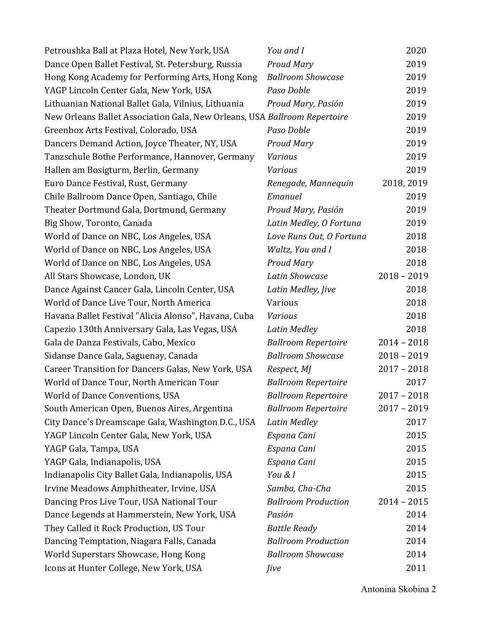| Petroushka Ball at Plaza Hotel, New York, USA                             | You and I                  | 2020          |
|---------------------------------------------------------------------------|----------------------------|---------------|
| Dance Open Ballet Festival, St. Petersburg, Russia                        | <b>Proud Mary</b>          | 2019          |
| Hong Kong Academy for Performing Arts, Hong Kong                          | <b>Ballroom Showcase</b>   | 2019          |
| YAGP Lincoln Center Gala, New York, USA                                   | Paso Doble                 | 2019          |
| Lithuanian National Ballet Gala, Vilnius, Lithuania                       | Proud Mary, Pasión         | 2019          |
| New Orleans Ballet Association Gala, New Orleans, USA Ballroom Repertoire |                            | 2019          |
| Greenbox Arts Festival, Colorado, USA                                     | Paso Doble                 | 2019          |
| Dancers Demand Action, Joyce Theater, NY, USA                             | <b>Proud Mary</b>          | 2019          |
| Tanzschule Bothe Performance, Hannover, Germany                           | <b>Various</b>             | 2019          |
| Hallen am Bosigturm, Berlin, Germany                                      | <b>Various</b>             | 2019          |
| Euro Dance Festival, Rust, Germany                                        | Renegade, Mannequin        | 2018, 2019    |
| Chile Ballroom Dance Open, Santiago, Chile                                | Emanuel                    | 2019          |
| Theater Dortmund Gala, Dortmund, Germany                                  | Proud Mary, Pasión         | 2019          |
| Big Show, Toronto, Canada                                                 | Latin Medley, O Fortuna    | 2019          |
| World of Dance on NBC, Los Angeles, USA                                   | Love Runs Out, O Fortuna   | 2018          |
| World of Dance on NBC, Los Angeles, USA                                   | Waltz, You and I           | 2018          |
| World of Dance on NBC, Los Angeles, USA                                   | <b>Proud Mary</b>          | 2018          |
| All Stars Showcase, London, UK                                            | <b>Latin Showcase</b>      | $2018 - 2019$ |
| Dance Against Cancer Gala, Lincoln Center, USA                            | Latin Medley, Jive         | 2018          |
| World of Dance Live Tour, North America                                   | Various                    | 2018          |
| Havana Ballet Festival "Alicia Alonso", Havana, Cuba                      | Various                    | 2018          |
| Capezio 130th Anniversary Gala, Las Vegas, USA                            | <b>Latin Medley</b>        | 2018          |
| Gala de Danza Festivals, Cabo, Mexico                                     | <b>Ballroom Repertoire</b> | $2014 - 2018$ |
| Sidanse Dance Gala, Saguenay, Canada                                      | <b>Ballroom Showcase</b>   | $2018 - 2019$ |
| Career Transition for Dancers Galas, New York, USA                        | Respect, MJ                | $2017 - 2018$ |
| World of Dance Tour, North American Tour                                  | <b>Ballroom Repertoire</b> | 2017          |
| World of Dance Conventions, USA                                           | <b>Ballroom Repertoire</b> | $2017 - 2018$ |
| South American Open, Buenos Aires, Argentina                              | <b>Ballroom Repertoire</b> | $2017 - 2019$ |
| City Dance's Dreamscape Gala, Washington D.C., USA                        | <b>Latin Medley</b>        | 2017          |
| YAGP Lincoln Center Gala, New York, USA                                   | Espana Cani                | 2015          |
| YAGP Gala, Tampa, USA                                                     | Espana Cani                | 2015          |
| YAGP Gala, Indianapolis, USA                                              | Espana Cani                | 2015          |
| Indianapolis City Ballet Gala, Indianapolis, USA                          | You & I                    | 2015          |
| Irvine Meadows Amphitheater, Irvine, USA                                  | Samba, Cha-Cha             | 2015          |
| Dancing Pros Live Tour, USA National Tour                                 | <b>Ballroom Production</b> | $2014 - 2015$ |
| Dance Legends at Hammerstein, New York, USA                               | Pasión                     | 2014          |
| They Called it Rock Production, US Tour                                   | <b>Battle Ready</b>        | 2014          |
| Dancing Temptation, Niagara Falls, Canada                                 | <b>Ballroom Production</b> | 2014          |
| World Superstars Showcase, Hong Kong                                      | <b>Ballroom Showcase</b>   | 2014          |
| Icons at Hunter College, New York, USA                                    | <i>Jive</i>                | 2011          |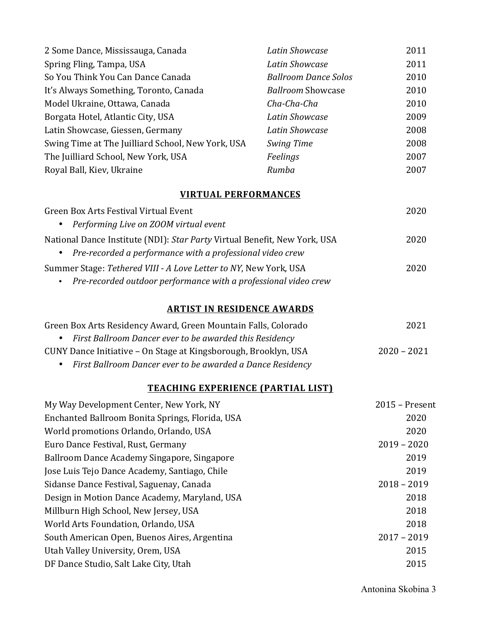| 2 Some Dance, Mississauga, Canada                                                                                                      | <b>Latin Showcase</b>       | 2011           |
|----------------------------------------------------------------------------------------------------------------------------------------|-----------------------------|----------------|
| Spring Fling, Tampa, USA                                                                                                               | <b>Latin Showcase</b>       | 2011           |
| So You Think You Can Dance Canada                                                                                                      | <b>Ballroom Dance Solos</b> | 2010           |
| It's Always Something, Toronto, Canada                                                                                                 | <b>Ballroom Showcase</b>    | 2010           |
| Model Ukraine, Ottawa, Canada                                                                                                          | Cha-Cha-Cha                 | 2010           |
| Borgata Hotel, Atlantic City, USA                                                                                                      | <b>Latin Showcase</b>       | 2009           |
| Latin Showcase, Giessen, Germany                                                                                                       | <b>Latin Showcase</b>       | 2008           |
| Swing Time at The Juilliard School, New York, USA                                                                                      | Swing Time                  | 2008           |
| The Juilliard School, New York, USA                                                                                                    | Feelings                    | 2007           |
| Royal Ball, Kiev, Ukraine                                                                                                              | Rumba                       | 2007           |
| <b>VIRTUAL PERFORMANCES</b>                                                                                                            |                             |                |
| Green Box Arts Festival Virtual Event                                                                                                  |                             | 2020           |
| Performing Live on ZOOM virtual event                                                                                                  |                             |                |
| National Dance Institute (NDI): Star Party Virtual Benefit, New York, USA<br>Pre-recorded a performance with a professional video crew |                             | 2020           |
| Summer Stage: Tethered VIII - A Love Letter to NY, New York, USA<br>Pre-recorded outdoor performance with a professional video crew    |                             | 2020           |
| <b>ARTIST IN RESIDENCE AWARDS</b>                                                                                                      |                             |                |
| Green Box Arts Residency Award, Green Mountain Falls, Colorado                                                                         |                             | 2021           |
| First Ballroom Dancer ever to be awarded this Residency                                                                                |                             |                |
| CUNY Dance Initiative - On Stage at Kingsborough, Brooklyn, USA                                                                        |                             | $2020 - 2021$  |
| First Ballroom Dancer ever to be awarded a Dance Residency                                                                             |                             |                |
| <b>TEACHING EXPERIENCE (PARTIAL LIST)</b>                                                                                              |                             |                |
| My Way Development Center, New York, NY                                                                                                |                             | 2015 - Present |
| Enchanted Ballroom Bonita Springs, Florida, USA                                                                                        |                             | 2020           |
| World promotions Orlando, Orlando, USA                                                                                                 |                             | 2020           |
| Euro Dance Festival, Rust, Germany                                                                                                     |                             | $2019 - 2020$  |
| Ballroom Dance Academy Singapore, Singapore                                                                                            |                             | 2019           |
| Jose Luis Tejo Dance Academy, Santiago, Chile                                                                                          |                             | 2019           |
| Sidanse Dance Festival, Saguenay, Canada                                                                                               |                             | $2018 - 2019$  |
| Design in Motion Dance Academy, Maryland, USA                                                                                          |                             | 2018           |
| Millburn High School, New Jersey, USA                                                                                                  |                             | 2018           |
| World Arts Foundation, Orlando, USA                                                                                                    |                             | 2018           |
| South American Open, Buenos Aires, Argentina                                                                                           |                             | $2017 - 2019$  |
| Utah Valley University, Orem, USA                                                                                                      |                             | 2015           |
| DF Dance Studio, Salt Lake City, Utah                                                                                                  |                             | 2015           |
|                                                                                                                                        |                             |                |